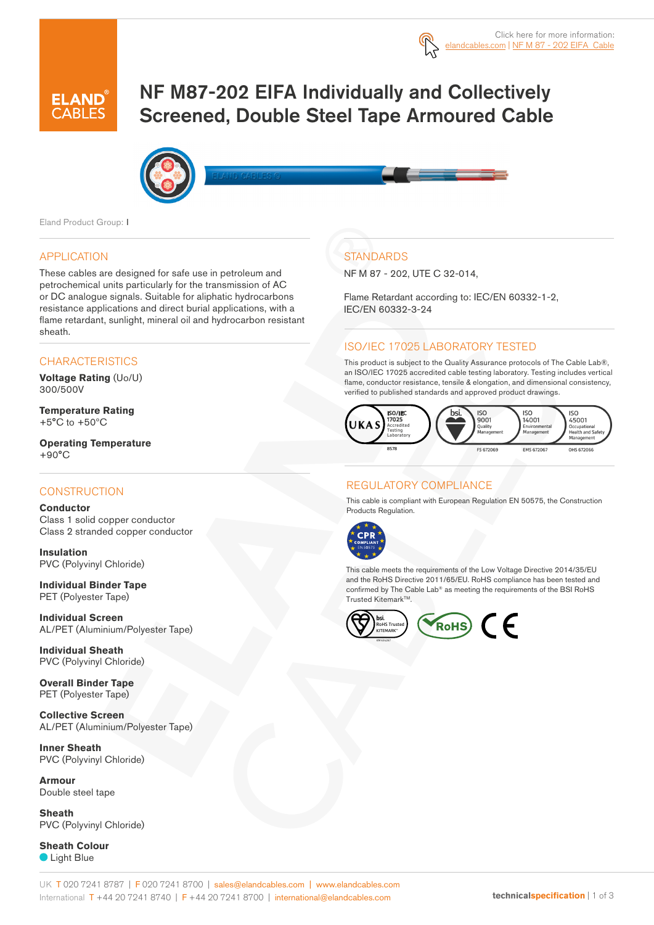

# NF M87-202 EIFA Individually and Collectively Screened, Double Steel Tape Armoured Cable



Eland Product Group: I

#### APPLICATION

These cables are designed for safe use in petroleum and petrochemical units particularly for the transmission of AC or DC analogue signals. Suitable for aliphatic hydrocarbons resistance applications and direct burial applications, with a flame retardant, sunlight, mineral oil and hydrocarbon resistant sheath.

#### **CHARACTERISTICS**

**Voltage Rating** (Uo/U) 300/500V

**Temperature Rating**  $+5^{\circ}$ C to  $+50^{\circ}$ C

**Operating Temperature**  $+90^{\circ}$ C

#### **CONSTRUCTION**

**Conductor** Class 1 solid copper conductor Class 2 stranded copper conductor

**Insulation** PVC (Polyvinyl Chloride)

**Individual Binder Tape** PET (Polyester Tape)

**Individual Screen** AL/PET (Aluminium/Polyester Tape)

**Individual Sheath** PVC (Polyvinyl Chloride)

**Overall Binder Tape** PET (Polyester Tape)

**Collective Screen** AL/PET (Aluminium/Polyester Tape)

**Inner Sheath** PVC (Polyvinyl Chloride)

**Armour** Double steel tape

**Sheath** PVC (Polyvinyl Chloride)

**Sheath Colour C** Light Blue

## **STANDARDS**

NF M 87 - 202, UTE C 32-014,

Flame Retardant according to: IEC/EN 60332-1-2, IEC/EN 60332-3-24

## ISO/IEC 17025 LABORATORY TESTED

This product is subject to the Quality Assurance protocols of The Cable Lab®, an ISO/IEC 17025 accredited cable testing laboratory. Testing includes vertical flame, conductor resistance, tensile & elongation, and dimensional consistency, verified to published standards and approved product drawings.



## REGULATORY COMPLIANCE

This cable is compliant with European Regulation EN 50575, the Construction Products Regulation.



This cable meets the requirements of the Low Voltage Directive 2014/35/EU and the RoHS Directive 2011/65/EU. RoHS compliance has been tested and confirmed by The Cable Lab® as meeting the requirements of the BSI RoHS Trusted Kitemark™.

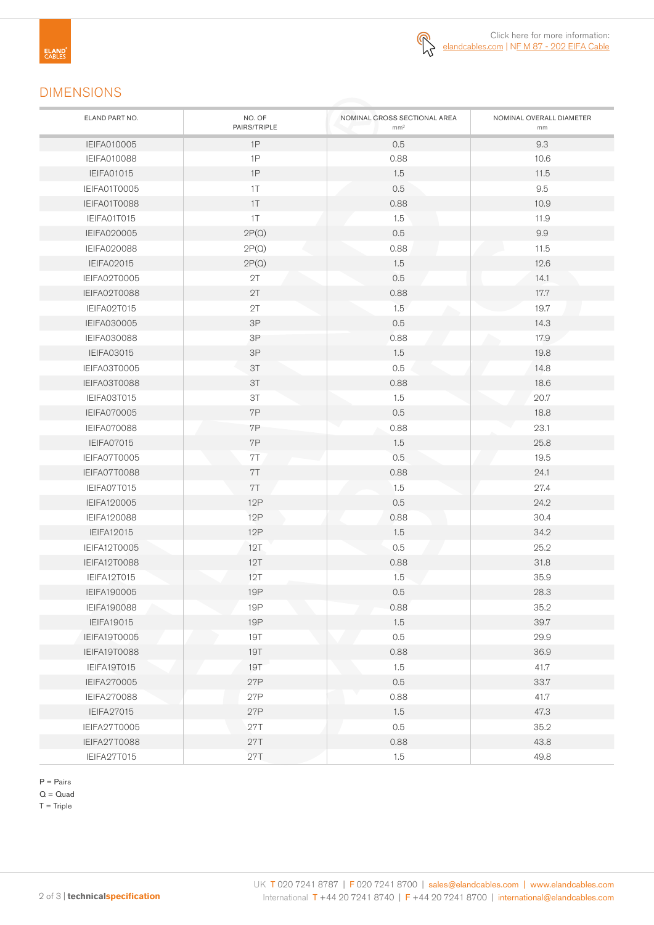

## DIMENSIONS

| ELAND PART NO.      | NO. OF<br>PAIRS/TRIPLE | NOMINAL CROSS SECTIONAL AREA<br>mm <sup>2</sup> | NOMINAL OVERALL DIAMETER<br>mm |
|---------------------|------------------------|-------------------------------------------------|--------------------------------|
| <b>IEIFA010005</b>  | 1P                     | 0.5                                             | 9.3                            |
| <b>IEIFA010088</b>  | 1P                     | 0.88                                            | 10.6                           |
| <b>IEIFA01015</b>   | 1P                     | 1.5                                             | 11.5                           |
| IEIFA01T0005        | 1T                     | 0.5                                             | 9.5                            |
| IEIFA01T0088        | 1T                     | 0.88                                            | 10.9                           |
| IEIFA01T015         | 1T                     | 1.5                                             | 11.9                           |
| IEIFA020005         | 2P(Q)                  | 0.5                                             | 9.9                            |
| <b>IEIFA020088</b>  | 2P(Q)                  | 0.88                                            | 11.5                           |
| <b>IEIFA02015</b>   | 2P(Q)                  | 1.5                                             | 12.6                           |
| IEIFA02T0005        | 2T                     | 0.5                                             | 14.1                           |
| IEIFA02T0088        | 2T                     | 0.88                                            | 17.7                           |
| IEIFA02T015         | 2T                     | 1.5                                             | 19.7                           |
| <b>IEIFA030005</b>  | $3\mathsf{P}$          | 0.5                                             | 14.3                           |
| <b>IEIFA030088</b>  | $3\mathsf{P}$          | 0.88                                            | 17.9                           |
| <b>IEIFA03015</b>   | 3P                     | 1.5                                             | 19.8                           |
| IEIFA03T0005        | 3T                     | 0.5                                             | 14.8                           |
| IEIFA03T0088        | 3T                     | 0.88                                            | 18.6                           |
| IEIFA03T015         | 3T                     | 1.5                                             | 20.7                           |
| <b>IEIFA070005</b>  | 7P                     | 0.5                                             | 18.8                           |
| <b>IEIFA070088</b>  | 7P                     | 0.88                                            | 23.1                           |
| IEIFA07015          | 7P                     | 1.5                                             | 25.8                           |
| IEIFA07T0005        | 7T                     | 0.5                                             | 19.5                           |
| IEIFA07T0088        | 7T                     | 0.88                                            | 24.1                           |
| IEIFA07T015         | 7T                     | 1.5                                             | 27.4                           |
| IEIFA120005         | 12P                    | 0.5                                             | 24.2                           |
| <b>IEIFA120088</b>  | 12P                    | 0.88                                            | 30.4                           |
| <b>IEIFA12015</b>   | 12P                    | 1.5                                             | 34.2                           |
| IEIFA12T0005        | 12T                    | 0.5                                             | 25.2                           |
| IEIFA12T0088        | 12T                    | 0.88                                            | 31.8                           |
| IEIFA12T015         | 12T                    | 1.5                                             | 35.9                           |
| IEIFA190005         | <b>19P</b>             | 0.5                                             | 28.3                           |
| <b>IEIFA190088</b>  | 19P                    | 0.88                                            | 35.2                           |
| <b>IEIFA19015</b>   | <b>19P</b>             | 1.5                                             | 39.7                           |
| <b>IEIFA19T0005</b> | <b>19T</b>             | 0.5                                             | 29.9                           |
| IEIFA19T0088        | <b>19T</b>             | 0.88                                            | 36.9                           |
| IEIFA19T015         | <b>19T</b>             | 1.5                                             | 41.7                           |
| IEIFA270005         | 27P                    | 0.5                                             | 33.7                           |
| <b>IEIFA270088</b>  | 27P                    | 0.88                                            | 41.7                           |
| <b>IEIFA27015</b>   | 27P                    | 1.5                                             | 47.3                           |
| IEIFA27T0005        | <b>27T</b>             | 0.5                                             | 35.2                           |
| IEIFA27T0088        | 27T                    | 0.88                                            | 43.8                           |
| IEIFA27T015         | <b>27T</b>             | 1.5                                             | 49.8                           |

P = Pairs

 $Q = Quad$ 

 $T =$ Triple